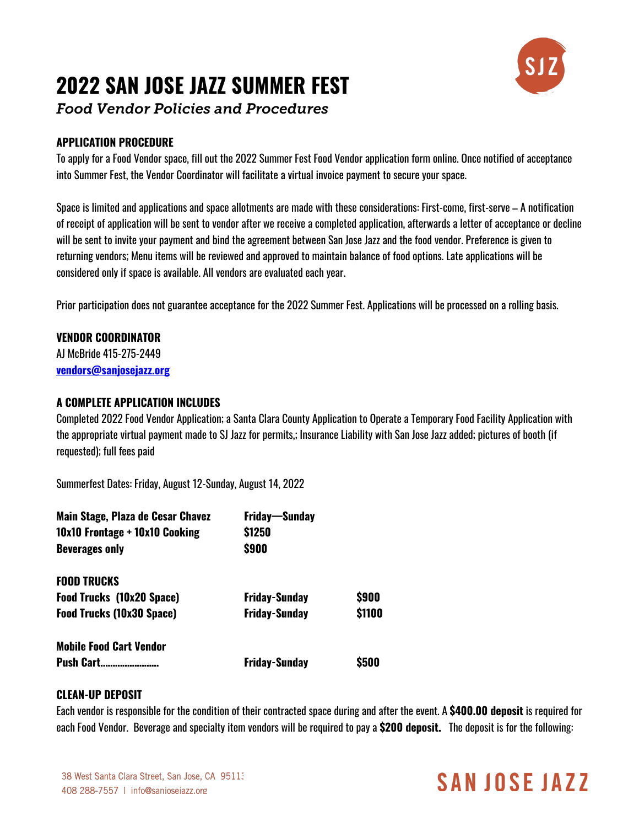# **2022 SAN JOSE JAZZ SUMMER FEST**



*Food Vendor Policies and Procedures*

# **APPLICATION PROCEDURE**

To apply for a Food Vendor space, fill out the 2022 Summer Fest Food Vendor application form online. Once notified of acceptance into Summer Fest, the Vendor Coordinator will facilitate a virtual invoice payment to secure your space.

Space is limited and applications and space allotments are made with these considerations: First-come, first-serve – A notification of receipt of application will be sent to vendor after we receive a completed application, afterwards a letter of acceptance or decline will be sent to invite your payment and bind the agreement between San Jose Jazz and the food vendor. Preference is given to returning vendors; Menu items will be reviewed and approved to maintain balance of food options. Late applications will be considered only if space is available. All vendors are evaluated each year.

Prior participation does not guarantee acceptance for the 2022 Summer Fest. Applications will be processed on a rolling basis.

# **VENDOR COORDINATOR**

AJ McBride 415-275-2449 **vendors@sanjosejazz.org**

# **A COMPLETE APPLICATION INCLUDES**

Completed 2022 Food Vendor Application; a Santa Clara County Application to Operate a Temporary Food Facility Application with the appropriate virtual payment made to SJ Jazz for permits,; Insurance Liability with San Jose Jazz added; pictures of booth (if requested); full fees paid

Summerfest Dates: Friday, August 12-Sunday, August 14, 2022

| Main Stage, Plaza de Cesar Chavez | Friday—Sunday        |        |
|-----------------------------------|----------------------|--------|
| 10x10 Frontage + 10x10 Cooking    | \$1250               |        |
| <b>Beverages only</b>             | \$900                |        |
| <b>FOOD TRUCKS</b>                |                      |        |
| <b>Food Trucks (10x20 Space)</b>  | <b>Friday-Sunday</b> | \$900  |
| <b>Food Trucks (10x30 Space)</b>  | <b>Friday-Sunday</b> | \$1100 |
| <b>Mobile Food Cart Vendor</b>    |                      |        |
| Push Cart                         | <b>Friday-Sunday</b> | \$500  |

# **CLEAN-UP DEPOSIT**

Each vendor is responsible for the condition of their contracted space during and after the event. A **\$400.00 deposit** is required for each Food Vendor. Beverage and specialty item vendors will be required to pay a **\$200 deposit.** The deposit is for the following:

# SAN JOSE JAZZ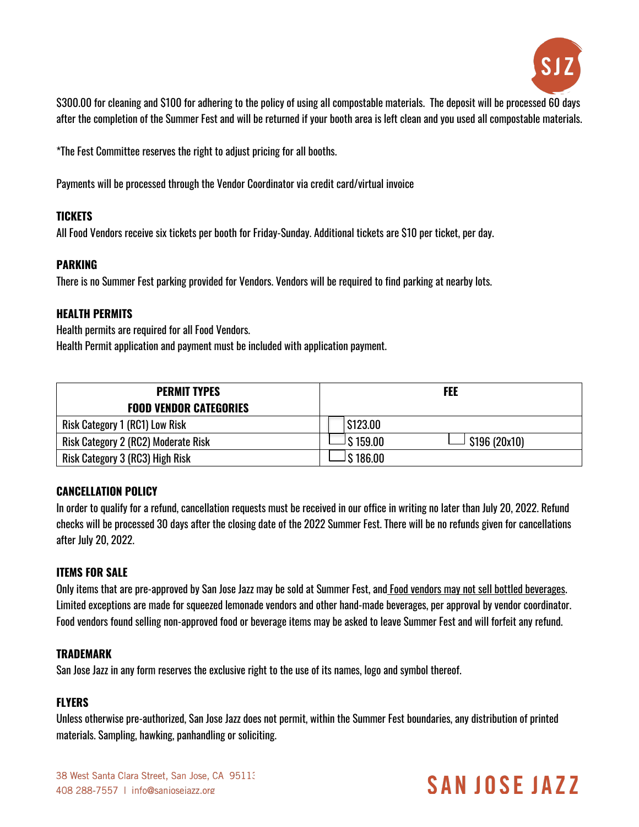

\$300.00 for cleaning and \$100 for adhering to the policy of using all compostable materials. The deposit will be processed 60 days after the completion of the Summer Fest and will be returned if your booth area is left clean and you used all compostable materials.

\*The Fest Committee reserves the right to adjust pricing for all booths.

Payments will be processed through the Vendor Coordinator via credit card/virtual invoice

### **TICKETS**

All Food Vendors receive six tickets per booth for Friday-Sunday. Additional tickets are \$10 per ticket, per day.

### **PARKING**

There is no Summer Fest parking provided for Vendors. Vendors will be required to find parking at nearby lots.

### **HEALTH PERMITS**

Health permits are required for all Food Vendors.

Health Permit application and payment must be included with application payment.

| <b>PERMIT TYPES</b><br><b>FOOD VENDOR CATEGORIES</b> | <b>FEE</b>                   |
|------------------------------------------------------|------------------------------|
| Risk Category 1 (RC1) Low Risk                       | S123.00                      |
| Risk Category 2 (RC2) Moderate Risk                  | J \$ 159.00<br>\$196 (20x10) |
| Risk Category 3 (RC3) High Risk                      | J \$ 186.00                  |

# **CANCELLATION POLICY**

In order to qualify for a refund, cancellation requests must be received in our office in writing no later than July 20, 2022. Refund checks will be processed 30 days after the closing date of the 2022 Summer Fest. There will be no refunds given for cancellations after July 20, 2022.

# **ITEMS FOR SALE**

Only items that are pre-approved by San Jose Jazz may be sold at Summer Fest, and Food vendors may not sell bottled beverages. Limited exceptions are made for squeezed lemonade vendors and other hand-made beverages, per approval by vendor coordinator. Food vendors found selling non-approved food or beverage items may be asked to leave Summer Fest and will forfeit any refund.

# **TRADEMARK**

San Jose Jazz in any form reserves the exclusive right to the use of its names, logo and symbol thereof.

# **FLYERS**

Unless otherwise pre-authorized, San Jose Jazz does not permit, within the Summer Fest boundaries, any distribution of printed materials. Sampling, hawking, panhandling or soliciting.

# **SANJOSE JAZZ**